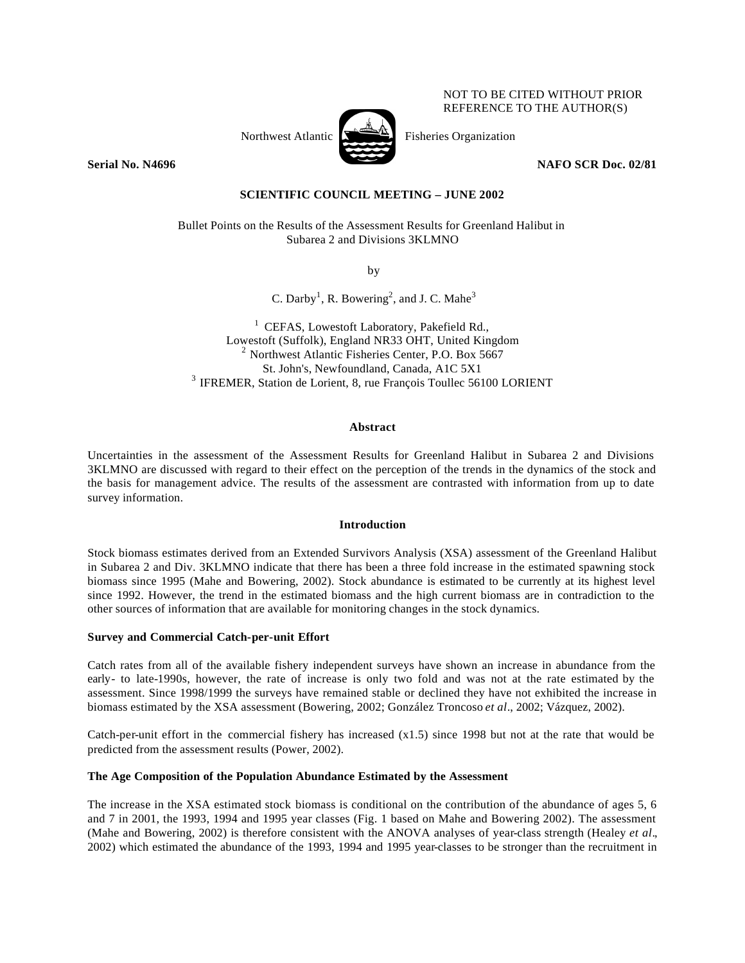NOT TO BE CITED WITHOUT PRIOR REFERENCE TO THE AUTHOR(S)



Northwest Atlantic  $\sum_{n=1}^{\infty}$  Fisheries Organization

**Serial No. N4696** NAFO SCR Doc. 02/81

# **SCIENTIFIC COUNCIL MEETING – JUNE 2002**

Bullet Points on the Results of the Assessment Results for Greenland Halibut in Subarea 2 and Divisions 3KLMNO

by

C. Darby<sup>1</sup>, R. Bowering<sup>2</sup>, and J. C. Mahe<sup>3</sup>

 $1$  CEFAS, Lowestoft Laboratory, Pakefield Rd., Lowestoft (Suffolk), England NR33 OHT, United Kingdom  $2$  Northwest Atlantic Fisheries Center, P.O. Box 5667 St. John's, Newfoundland, Canada, A1C 5X1 <sup>3</sup> IFREMER, Station de Lorient, 8, rue François Toullec 56100 LORIENT

## **Abstract**

Uncertainties in the assessment of the Assessment Results for Greenland Halibut in Subarea 2 and Divisions 3KLMNO are discussed with regard to their effect on the perception of the trends in the dynamics of the stock and the basis for management advice. The results of the assessment are contrasted with information from up to date survey information.

## **Introduction**

Stock biomass estimates derived from an Extended Survivors Analysis (XSA) assessment of the Greenland Halibut in Subarea 2 and Div. 3KLMNO indicate that there has been a three fold increase in the estimated spawning stock biomass since 1995 (Mahe and Bowering, 2002). Stock abundance is estimated to be currently at its highest level since 1992. However, the trend in the estimated biomass and the high current biomass are in contradiction to the other sources of information that are available for monitoring changes in the stock dynamics.

### **Survey and Commercial Catch-per-unit Effort**

Catch rates from all of the available fishery independent surveys have shown an increase in abundance from the early- to late-1990s, however, the rate of increase is only two fold and was not at the rate estimated by the assessment. Since 1998/1999 the surveys have remained stable or declined they have not exhibited the increase in biomass estimated by the XSA assessment (Bowering, 2002; González Troncoso *et al*., 2002; Vázquez, 2002).

Catch-per-unit effort in the commercial fishery has increased  $(x1.5)$  since 1998 but not at the rate that would be predicted from the assessment results (Power, 2002).

## **The Age Composition of the Population Abundance Estimated by the Assessment**

The increase in the XSA estimated stock biomass is conditional on the contribution of the abundance of ages 5, 6 and 7 in 2001, the 1993, 1994 and 1995 year classes (Fig. 1 based on Mahe and Bowering 2002). The assessment (Mahe and Bowering, 2002) is therefore consistent with the ANOVA analyses of year-class strength (Healey *et al*., 2002) which estimated the abundance of the 1993, 1994 and 1995 year-classes to be stronger than the recruitment in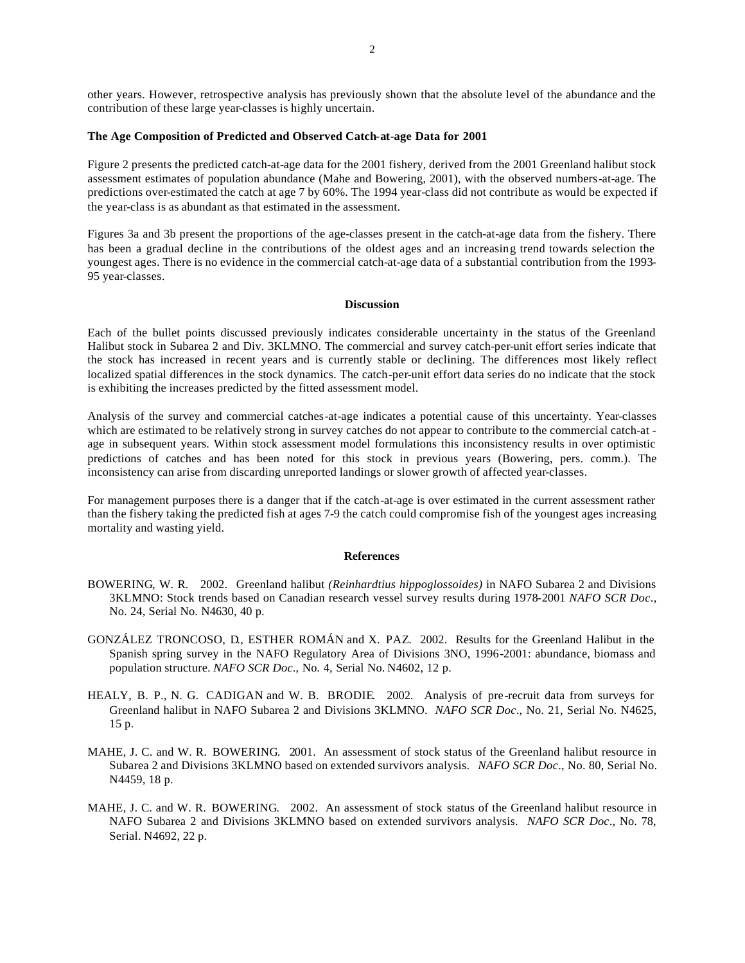other years. However, retrospective analysis has previously shown that the absolute level of the abundance and the contribution of these large year-classes is highly uncertain.

## **The Age Composition of Predicted and Observed Catch-at-age Data for 2001**

Figure 2 presents the predicted catch-at-age data for the 2001 fishery, derived from the 2001 Greenland halibut stock assessment estimates of population abundance (Mahe and Bowering, 2001), with the observed numbers-at-age. The predictions over-estimated the catch at age 7 by 60%. The 1994 year-class did not contribute as would be expected if the year-class is as abundant as that estimated in the assessment.

Figures 3a and 3b present the proportions of the age-classes present in the catch-at-age data from the fishery. There has been a gradual decline in the contributions of the oldest ages and an increasing trend towards selection the youngest ages. There is no evidence in the commercial catch-at-age data of a substantial contribution from the 1993- 95 year-classes.

## **Discussion**

Each of the bullet points discussed previously indicates considerable uncertainty in the status of the Greenland Halibut stock in Subarea 2 and Div. 3KLMNO. The commercial and survey catch-per-unit effort series indicate that the stock has increased in recent years and is currently stable or declining. The differences most likely reflect localized spatial differences in the stock dynamics. The catch-per-unit effort data series do no indicate that the stock is exhibiting the increases predicted by the fitted assessment model.

Analysis of the survey and commercial catches-at-age indicates a potential cause of this uncertainty. Year-classes which are estimated to be relatively strong in survey catches do not appear to contribute to the commercial catch-at age in subsequent years. Within stock assessment model formulations this inconsistency results in over optimistic predictions of catches and has been noted for this stock in previous years (Bowering, pers. comm.). The inconsistency can arise from discarding unreported landings or slower growth of affected year-classes.

For management purposes there is a danger that if the catch-at-age is over estimated in the current assessment rather than the fishery taking the predicted fish at ages 7-9 the catch could compromise fish of the youngest ages increasing mortality and wasting yield.

#### **References**

- BOWERING, W. R. 2002. Greenland halibut *(Reinhardtius hippoglossoides)* in NAFO Subarea 2 and Divisions 3KLMNO: Stock trends based on Canadian research vessel survey results during 1978-2001 *NAFO SCR Doc*., No. 24, Serial No. N4630, 40 p.
- GONZÁLEZ TRONCOSO, D., ESTHER ROMÁN and X. PAZ. 2002. Results for the Greenland Halibut in the Spanish spring survey in the NAFO Regulatory Area of Divisions 3NO, 1996-2001: abundance, biomass and population structure. *NAFO SCR Doc*., No. 4, Serial No. N4602, 12 p.
- HEALY, B. P., N. G. CADIGAN and W. B. BRODIE. 2002. Analysis of pre-recruit data from surveys for Greenland halibut in NAFO Subarea 2 and Divisions 3KLMNO. *NAFO SCR Doc*., No. 21, Serial No. N4625, 15 p.
- MAHE, J. C. and W. R. BOWERING. 2001. An assessment of stock status of the Greenland halibut resource in Subarea 2 and Divisions 3KLMNO based on extended survivors analysis. *NAFO SCR Doc*., No. 80, Serial No. N4459, 18 p.
- MAHE, J. C. and W. R. BOWERING. 2002. An assessment of stock status of the Greenland halibut resource in NAFO Subarea 2 and Divisions 3KLMNO based on extended survivors analysis. *NAFO SCR Doc*., No. 78, Serial. N4692, 22 p.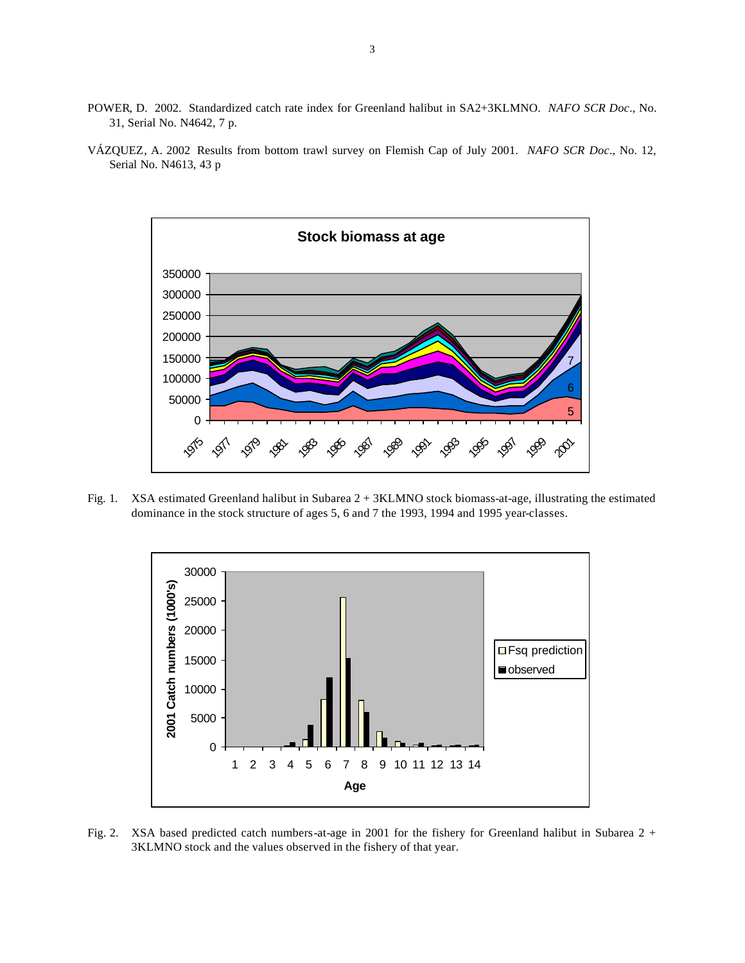- POWER, D. 2002. Standardized catch rate index for Greenland halibut in SA2+3KLMNO. *NAFO SCR Doc*., No. 31, Serial No. N4642, 7 p.
- VÁZQUEZ, A. 2002 Results from bottom trawl survey on Flemish Cap of July 2001. *NAFO SCR Doc*., No. 12, Serial No. N4613, 43 p



Fig. 1. XSA estimated Greenland halibut in Subarea 2 + 3KLMNO stock biomass-at-age, illustrating the estimated dominance in the stock structure of ages 5, 6 and 7 the 1993, 1994 and 1995 year-classes.



Fig. 2. XSA based predicted catch numbers-at-age in 2001 for the fishery for Greenland halibut in Subarea 2 + 3KLMNO stock and the values observed in the fishery of that year.